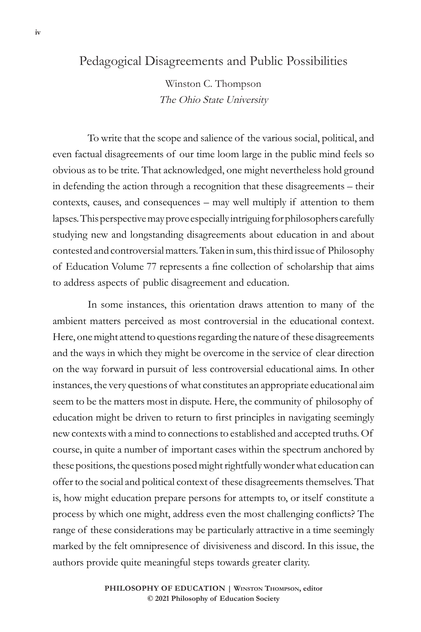## Pedagogical Disagreements and Public Possibilities

Winston C. Thompson The Ohio State University

To write that the scope and salience of the various social, political, and even factual disagreements of our time loom large in the public mind feels so obvious as to be trite. That acknowledged, one might nevertheless hold ground in defending the action through a recognition that these disagreements – their contexts, causes, and consequences – may well multiply if attention to them lapses. This perspective may prove especially intriguing for philosophers carefully studying new and longstanding disagreements about education in and about contested and controversial matters. Taken in sum, this third issue of Philosophy of Education Volume 77 represents a fine collection of scholarship that aims to address aspects of public disagreement and education.

In some instances, this orientation draws attention to many of the ambient matters perceived as most controversial in the educational context. Here, one might attend to questions regarding the nature of these disagreements and the ways in which they might be overcome in the service of clear direction on the way forward in pursuit of less controversial educational aims. In other instances, the very questions of what constitutes an appropriate educational aim seem to be the matters most in dispute. Here, the community of philosophy of education might be driven to return to first principles in navigating seemingly new contexts with a mind to connections to established and accepted truths. Of course, in quite a number of important cases within the spectrum anchored by these positions, the questions posed might rightfully wonder what education can offer to the social and political context of these disagreements themselves. That is, how might education prepare persons for attempts to, or itself constitute a process by which one might, address even the most challenging conflicts? The range of these considerations may be particularly attractive in a time seemingly marked by the felt omnipresence of divisiveness and discord. In this issue, the authors provide quite meaningful steps towards greater clarity.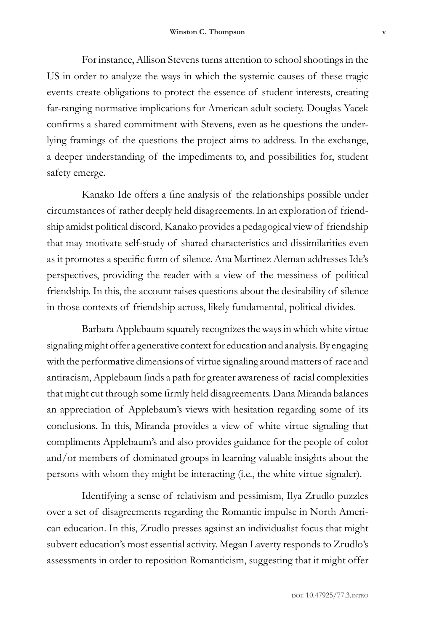For instance, Allison Stevens turns attention to school shootings in the US in order to analyze the ways in which the systemic causes of these tragic events create obligations to protect the essence of student interests, creating far-ranging normative implications for American adult society. Douglas Yacek confirms a shared commitment with Stevens, even as he questions the underlying framings of the questions the project aims to address. In the exchange, a deeper understanding of the impediments to, and possibilities for, student safety emerge.

Kanako Ide offers a fine analysis of the relationships possible under circumstances of rather deeply held disagreements. In an exploration of friendship amidst political discord, Kanako provides a pedagogical view of friendship that may motivate self-study of shared characteristics and dissimilarities even as it promotes a specific form of silence. Ana Martinez Aleman addresses Ide's perspectives, providing the reader with a view of the messiness of political friendship. In this, the account raises questions about the desirability of silence in those contexts of friendship across, likely fundamental, political divides.

Barbara Applebaum squarely recognizes the ways in which white virtue signaling might offer a generative context for education and analysis. By engaging with the performative dimensions of virtue signaling around matters of race and antiracism, Applebaum finds a path for greater awareness of racial complexities that might cut through some firmly held disagreements. Dana Miranda balances an appreciation of Applebaum's views with hesitation regarding some of its conclusions. In this, Miranda provides a view of white virtue signaling that compliments Applebaum's and also provides guidance for the people of color and/or members of dominated groups in learning valuable insights about the persons with whom they might be interacting (i.e., the white virtue signaler).

Identifying a sense of relativism and pessimism, Ilya Zrudlo puzzles over a set of disagreements regarding the Romantic impulse in North American education. In this, Zrudlo presses against an individualist focus that might subvert education's most essential activity. Megan Laverty responds to Zrudlo's assessments in order to reposition Romanticism, suggesting that it might offer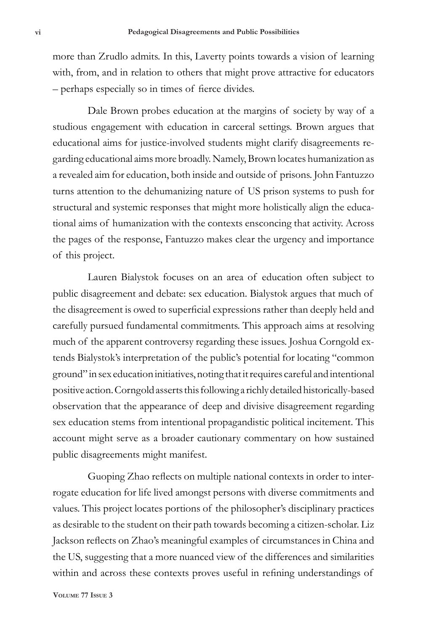more than Zrudlo admits. In this, Laverty points towards a vision of learning with, from, and in relation to others that might prove attractive for educators – perhaps especially so in times of fierce divides.

Dale Brown probes education at the margins of society by way of a studious engagement with education in carceral settings. Brown argues that educational aims for justice-involved students might clarify disagreements regarding educational aims more broadly. Namely, Brown locates humanization as a revealed aim for education, both inside and outside of prisons. John Fantuzzo turns attention to the dehumanizing nature of US prison systems to push for structural and systemic responses that might more holistically align the educational aims of humanization with the contexts ensconcing that activity. Across the pages of the response, Fantuzzo makes clear the urgency and importance of this project.

Lauren Bialystok focuses on an area of education often subject to public disagreement and debate: sex education. Bialystok argues that much of the disagreement is owed to superficial expressions rather than deeply held and carefully pursued fundamental commitments. This approach aims at resolving much of the apparent controversy regarding these issues. Joshua Corngold extends Bialystok's interpretation of the public's potential for locating "common ground" in sex education initiatives, noting that it requires careful and intentional positive action. Corngold asserts this following a richly detailed historically-based observation that the appearance of deep and divisive disagreement regarding sex education stems from intentional propagandistic political incitement. This account might serve as a broader cautionary commentary on how sustained public disagreements might manifest.

Guoping Zhao reflects on multiple national contexts in order to interrogate education for life lived amongst persons with diverse commitments and values. This project locates portions of the philosopher's disciplinary practices as desirable to the student on their path towards becoming a citizen-scholar. Liz Jackson reflects on Zhao's meaningful examples of circumstances in China and the US, suggesting that a more nuanced view of the differences and similarities within and across these contexts proves useful in refining understandings of